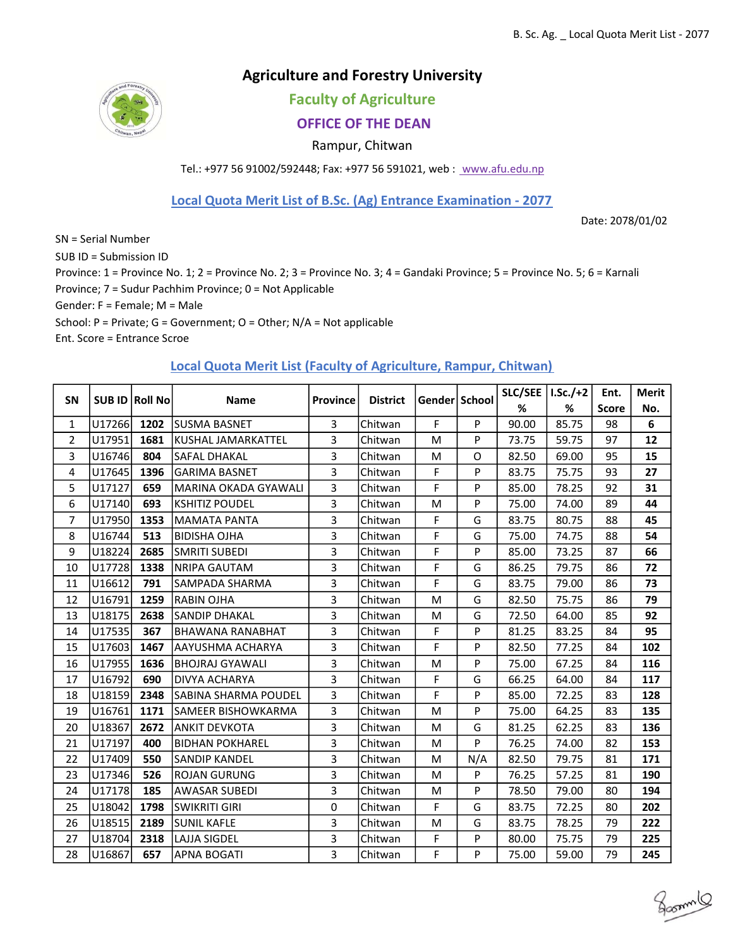## Agriculture and Forestry University

Faculty of Agriculture

## OFFICE OF THE DEAN

Rampur, Chitwan

Tel.: +977 56 91002/592448; Fax: +977 56 591021, web : www.afu.edu.np

Local Quota Merit List of B.Sc. (Ag) Entrance Examination - 2077

Date: 2078/01/02

groom

Ent. Score = Entrance Scroe SN = Serial Number SUB ID = Submission ID Province: 1 = Province No. 1; 2 = Province No. 2; 3 = Province No. 3; 4 = Gandaki Province; 5 = Province No. 5; 6 = Karnali Province; 7 = Sudur Pachhim Province; 0 = Not Applicable School: P = Private; G = Government; O = Other; N/A = Not applicable Gender: F = Female; M = Male

### Local Quota Merit List (Faculty of Agriculture, Rampur, Chitwan)

| <b>SN</b>      |        | SUB ID Roll No | <b>Name</b>                 | <b>Province</b> | <b>District</b> | Gender   School |     | SLC/SEE | I.Sc./+2 | Ent.         | <b>Merit</b> |
|----------------|--------|----------------|-----------------------------|-----------------|-----------------|-----------------|-----|---------|----------|--------------|--------------|
|                |        |                |                             |                 |                 |                 |     | %       | %        | <b>Score</b> | No.          |
| $\mathbf{1}$   | U17266 | 1202           | lsusma basnet               | 3               | Chitwan         | F               | P   | 90.00   | 85.75    | 98           | 6            |
| $\overline{2}$ | U17951 | 1681           | <b>KUSHAL JAMARKATTEL</b>   | 3               | Chitwan         | M               | P   | 73.75   | 59.75    | 97           | 12           |
| 3              | U16746 | 804            | SAFAL DHAKAL                | 3               | Chitwan         | M               | O   | 82.50   | 69.00    | 95           | 15           |
| 4              | U17645 | 1396           | <b>GARIMA BASNET</b>        | 3               | Chitwan         | F               | P   | 83.75   | 75.75    | 93           | 27           |
| 5              | U17127 | 659            | MARINA OKADA GYAWALI        | 3               | Chitwan         | F               | P   | 85.00   | 78.25    | 92           | 31           |
| 6              | U17140 | 693            | <b>KSHITIZ POUDEL</b>       | 3               | Chitwan         | M               | P   | 75.00   | 74.00    | 89           | 44           |
| $\overline{7}$ | U17950 | 1353           | <b>MAMATA PANTA</b>         | 3               | Chitwan         | F               | G   | 83.75   | 80.75    | 88           | 45           |
| 8              | U16744 | 513            | <b>BIDISHA OJHA</b>         | 3               | Chitwan         | F               | G   | 75.00   | 74.75    | 88           | 54           |
| 9              | U18224 | 2685           | <b>SMRITI SUBEDI</b>        | 3               | Chitwan         | F               | P   | 85.00   | 73.25    | 87           | 66           |
| 10             | U17728 | 1338           | <b>NRIPA GAUTAM</b>         | 3               | Chitwan         | F               | G   | 86.25   | 79.75    | 86           | 72           |
| 11             | U16612 | 791            | SAMPADA SHARMA              | 3               | Chitwan         | F               | G   | 83.75   | 79.00    | 86           | 73           |
| 12             | U16791 | 1259           | <b>RABIN OJHA</b>           | 3               | Chitwan         | M               | G   | 82.50   | 75.75    | 86           | 79           |
| 13             | U18175 | 2638           | <b>SANDIP DHAKAL</b>        | 3               | Chitwan         | M               | G   | 72.50   | 64.00    | 85           | 92           |
| 14             | U17535 | 367            | <b>BHAWANA RANABHAT</b>     | 3               | Chitwan         | F               | P   | 81.25   | 83.25    | 84           | 95           |
| 15             | U17603 | 1467           | AAYUSHMA ACHARYA            | 3               | Chitwan         | F               | P   | 82.50   | 77.25    | 84           | 102          |
| 16             | U17955 | 1636           | <b>BHOJRAJ GYAWALI</b>      | 3               | Chitwan         | M               | P   | 75.00   | 67.25    | 84           | 116          |
| 17             | U16792 | 690            | DIVYA ACHARYA               | 3               | Chitwan         | F               | G   | 66.25   | 64.00    | 84           | 117          |
| 18             | U18159 | 2348           | <b>SABINA SHARMA POUDEL</b> | 3               | Chitwan         | F               | P   | 85.00   | 72.25    | 83           | 128          |
| 19             | U16761 | 1171           | SAMEER BISHOWKARMA          | 3               | Chitwan         | M               | P   | 75.00   | 64.25    | 83           | 135          |
| 20             | U18367 | 2672           | <b>ANKIT DEVKOTA</b>        | 3               | Chitwan         | M               | G   | 81.25   | 62.25    | 83           | 136          |
| 21             | U17197 | 400            | <b>BIDHAN POKHAREL</b>      | 3               | Chitwan         | M               | P   | 76.25   | 74.00    | 82           | 153          |
| 22             | U17409 | 550            | <b>SANDIP KANDEL</b>        | 3               | Chitwan         | M               | N/A | 82.50   | 79.75    | 81           | 171          |
| 23             | U17346 | 526            | <b>ROJAN GURUNG</b>         | 3               | Chitwan         | M               | P   | 76.25   | 57.25    | 81           | 190          |
| 24             | U17178 | 185            | AWASAR SUBEDI               | 3               | Chitwan         | M               | P   | 78.50   | 79.00    | 80           | 194          |
| 25             | U18042 | 1798           | <b>SWIKRITI GIRI</b>        | 0               | Chitwan         | F               | G   | 83.75   | 72.25    | 80           | 202          |
| 26             | U18515 | 2189           | <b>SUNIL KAFLE</b>          | 3               | Chitwan         | M               | G   | 83.75   | 78.25    | 79           | 222          |
| 27             | U18704 | 2318           | LAJJA SIGDEL                | 3               | Chitwan         | F               | P   | 80.00   | 75.75    | 79           | 225          |
| 28             | U16867 | 657            | <b>APNA BOGATI</b>          | 3               | Chitwan         | F               | P   | 75.00   | 59.00    | 79           | 245          |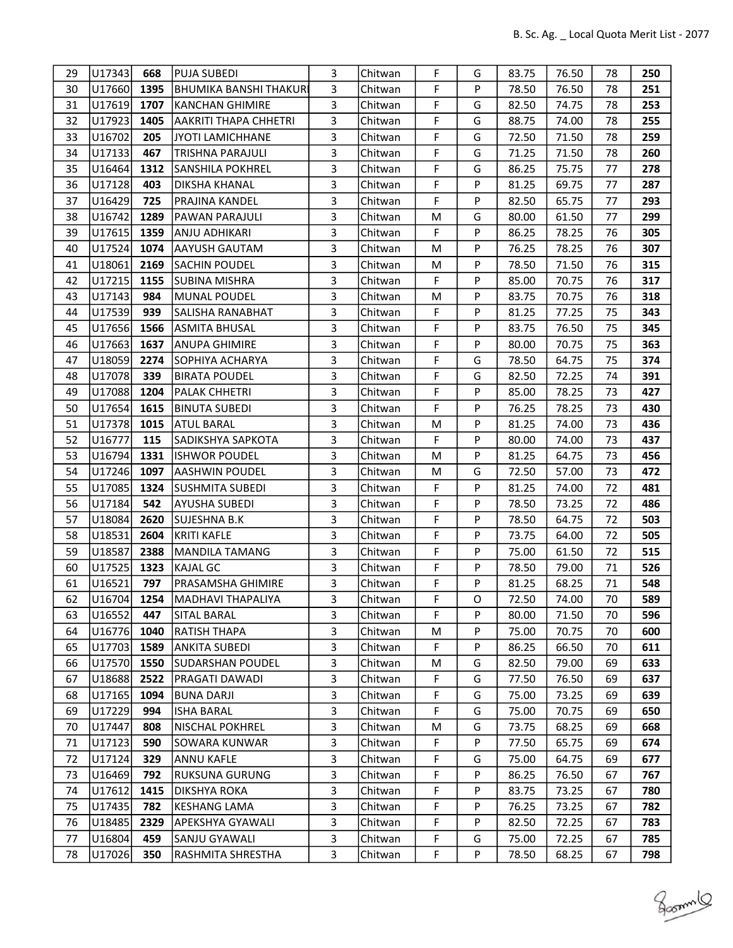| 29 | U17343 | 668  | <b>PUJA SUBEDI</b>            | 3 | Chitwan | F | G | 83.75 | 76.50 | 78 | 250 |
|----|--------|------|-------------------------------|---|---------|---|---|-------|-------|----|-----|
| 30 | U17660 | 1395 | <b>BHUMIKA BANSHI THAKURI</b> | 3 | Chitwan | F | P | 78.50 | 76.50 | 78 | 251 |
| 31 | U17619 | 1707 | <b>KANCHAN GHIMIRE</b>        | 3 | Chitwan | F | G | 82.50 | 74.75 | 78 | 253 |
| 32 | U17923 | 1405 | AAKRITI THAPA CHHETRI         | 3 | Chitwan | F | G | 88.75 | 74.00 | 78 | 255 |
| 33 | U16702 | 205  | JYOTI LAMICHHANE              | 3 | Chitwan | F | G | 72.50 | 71.50 | 78 | 259 |
| 34 | U17133 | 467  | <b>TRISHNA PARAJULI</b>       | 3 | Chitwan | F | G | 71.25 | 71.50 | 78 | 260 |
| 35 | U16464 | 1312 | <b>SANSHILA POKHREL</b>       | 3 | Chitwan | F | G | 86.25 | 75.75 | 77 | 278 |
| 36 | U17128 | 403  | <b>DIKSHA KHANAL</b>          | 3 | Chitwan | F | P | 81.25 | 69.75 | 77 | 287 |
| 37 | U16429 | 725  | <b>PRAJINA KANDEL</b>         | 3 | Chitwan | F | P | 82.50 | 65.75 | 77 | 293 |
| 38 | U16742 | 1289 | <b>PAWAN PARAJULI</b>         | 3 | Chitwan | M | G | 80.00 | 61.50 | 77 | 299 |
| 39 | U17615 | 1359 | ANJU ADHIKARI                 | 3 | Chitwan | F | P | 86.25 | 78.25 | 76 | 305 |
| 40 | U17524 | 1074 | <b>AAYUSH GAUTAM</b>          | 3 | Chitwan | M | P | 76.25 | 78.25 | 76 | 307 |
| 41 | U18061 | 2169 | <b>SACHIN POUDEL</b>          | 3 | Chitwan | M | P | 78.50 | 71.50 | 76 | 315 |
| 42 | U17215 | 1155 | <b>SUBINA MISHRA</b>          | 3 | Chitwan | F | P | 85.00 | 70.75 | 76 | 317 |
| 43 | U17143 | 984  | MUNAL POUDEL                  | 3 | Chitwan | M | P | 83.75 | 70.75 | 76 | 318 |
| 44 | U17539 | 939  | SALISHA RANABHAT              | 3 | Chitwan | F | P | 81.25 | 77.25 | 75 | 343 |
| 45 | U17656 | 1566 | <b>ASMITA BHUSAL</b>          | 3 | Chitwan | F | P | 83.75 | 76.50 | 75 | 345 |
| 46 | U17663 | 1637 | <b>ANUPA GHIMIRE</b>          | 3 | Chitwan | F | P | 80.00 | 70.75 | 75 | 363 |
| 47 | U18059 | 2274 | <b>SOPHIYA ACHARYA</b>        | 3 | Chitwan | F | G | 78.50 | 64.75 | 75 | 374 |
| 48 | U17078 | 339  | <b>BIRATA POUDEL</b>          | 3 | Chitwan | F | G | 82.50 | 72.25 | 74 | 391 |
| 49 | U17088 | 1204 | PALAK CHHETRI                 | 3 | Chitwan | F | P | 85.00 | 78.25 | 73 | 427 |
| 50 | U17654 | 1615 | <b>BINUTA SUBEDI</b>          | 3 | Chitwan | F | P | 76.25 | 78.25 | 73 | 430 |
| 51 | U17378 | 1015 | <b>ATUL BARAL</b>             | 3 | Chitwan | M | P | 81.25 | 74.00 | 73 | 436 |
| 52 | U16777 | 115  | SADIKSHYA SAPKOTA             | 3 | Chitwan | F | P | 80.00 | 74.00 | 73 | 437 |
| 53 | U16794 | 1331 | <b>ISHWOR POUDEL</b>          | 3 | Chitwan | M | P | 81.25 | 64.75 | 73 | 456 |
| 54 | U17246 | 1097 | <b>AASHWIN POUDEL</b>         | 3 | Chitwan | M | G | 72.50 | 57.00 | 73 | 472 |
| 55 | U17085 | 1324 | SUSHMITA SUBEDI               | 3 | Chitwan | F | P | 81.25 | 74.00 | 72 | 481 |
| 56 | U17184 | 542  | <b>AYUSHA SUBEDI</b>          | 3 | Chitwan | F | P | 78.50 | 73.25 | 72 | 486 |
| 57 | U18084 | 2620 | <b>SUJESHNA B.K</b>           | 3 | Chitwan | F | P | 78.50 | 64.75 | 72 | 503 |
| 58 | U18531 | 2604 | <b>KRITI KAFLE</b>            | 3 | Chitwan | F | P | 73.75 | 64.00 | 72 | 505 |
| 59 | U18587 | 2388 | <b>MANDILA TAMANG</b>         | 3 | Chitwan | F | P | 75.00 | 61.50 | 72 | 515 |
| 60 | U17525 | 1323 | <b>KAJAL GC</b>               | 3 | Chitwan | F | P | 78.50 | 79.00 | 71 | 526 |
| 61 | U16521 | 797  | PRASAMSHA GHIMIRE             | 3 | Chitwan | F | P | 81.25 | 68.25 | 71 | 548 |
| 62 | U16704 | 1254 | <b>MADHAVI THAPALIYA</b>      | 3 | Chitwan | F | O | 72.50 | 74.00 | 70 | 589 |
| 63 | U16552 | 447  | <b>SITAL BARAL</b>            | 3 | Chitwan | F | P | 80.00 | 71.50 | 70 | 596 |
| 64 | U16776 | 1040 | <b>RATISH THAPA</b>           | 3 | Chitwan | М | P | 75.00 | 70.75 | 70 | 600 |
| 65 | U17703 | 1589 | <b>ANKITA SUBEDI</b>          | 3 | Chitwan | F | P | 86.25 | 66.50 | 70 | 611 |
| 66 | U17570 | 1550 | <b>SUDARSHAN POUDEL</b>       | 3 | Chitwan | M | G | 82.50 | 79.00 | 69 | 633 |
| 67 | U18688 | 2522 | PRAGATI DAWADI                | 3 | Chitwan | F | G | 77.50 | 76.50 | 69 | 637 |
| 68 | U17165 | 1094 | <b>BUNA DARJI</b>             | 3 | Chitwan | F | G | 75.00 | 73.25 | 69 | 639 |
| 69 | U17229 | 994  | <b>ISHA BARAL</b>             | 3 | Chitwan | F | G | 75.00 | 70.75 | 69 | 650 |
| 70 | U17447 | 808  | <b>NISCHAL POKHREL</b>        | 3 | Chitwan | M | G | 73.75 | 68.25 | 69 | 668 |
| 71 | U17123 | 590  | <b>SOWARA KUNWAR</b>          | 3 | Chitwan | F | P | 77.50 | 65.75 | 69 | 674 |
| 72 | U17124 | 329  | <b>ANNU KAFLE</b>             | 3 | Chitwan | F | G | 75.00 | 64.75 | 69 | 677 |
| 73 | U16469 | 792  | <b>RUKSUNA GURUNG</b>         | 3 | Chitwan | F | P | 86.25 | 76.50 | 67 | 767 |
| 74 | U17612 | 1415 | <b>DIKSHYA ROKA</b>           | 3 | Chitwan | F | P | 83.75 | 73.25 | 67 | 780 |
| 75 | U17435 | 782  | <b>KESHANG LAMA</b>           | 3 | Chitwan | F | P | 76.25 | 73.25 | 67 | 782 |
| 76 | U18485 | 2329 | APEKSHYA GYAWALI              | 3 | Chitwan | F | P | 82.50 | 72.25 | 67 | 783 |
| 77 | U16804 | 459  | SANJU GYAWALI                 | 3 | Chitwan | F | G | 75.00 | 72.25 | 67 | 785 |
| 78 | U17026 | 350  | RASHMITA SHRESTHA             | 3 | Chitwan | F | P | 78.50 | 68.25 | 67 | 798 |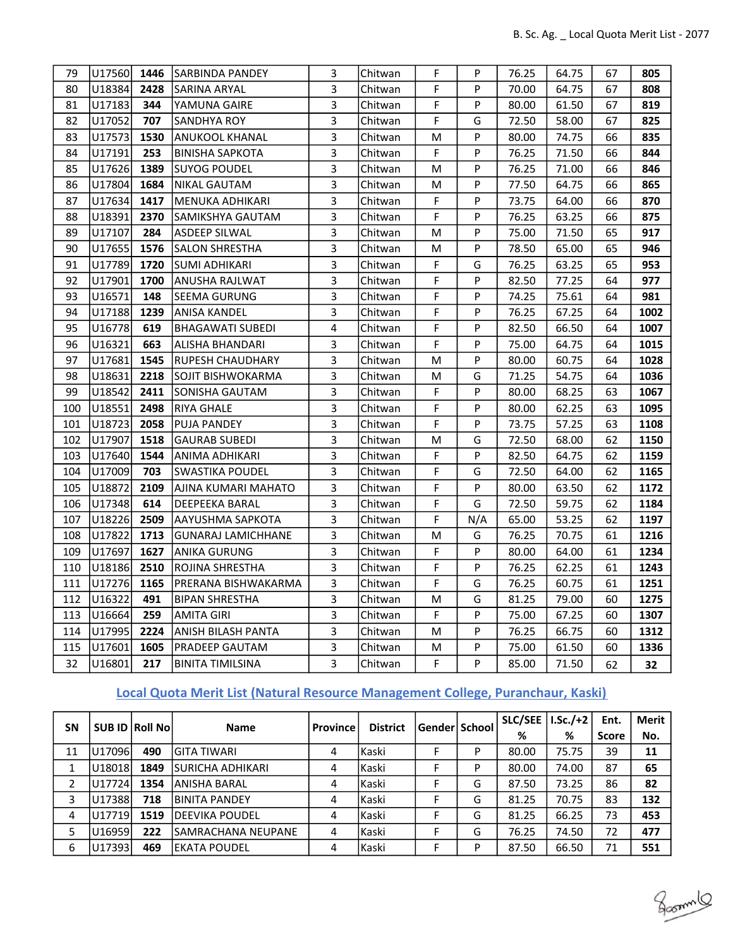| 79  | U17560 | 1446 | <b>SARBINDA PANDEY</b>    | 3              | Chitwan | F | P   | 76.25 | 64.75 | 67 | 805  |
|-----|--------|------|---------------------------|----------------|---------|---|-----|-------|-------|----|------|
| 80  | U18384 | 2428 | SARINA ARYAL              | 3              | Chitwan | F | Þ   | 70.00 | 64.75 | 67 | 808  |
| 81  | U17183 | 344  | YAMUNA GAIRE              | 3              | Chitwan | F | P   | 80.00 | 61.50 | 67 | 819  |
| 82  | U17052 | 707  | SANDHYA ROY               | 3              | Chitwan | F | G   | 72.50 | 58.00 | 67 | 825  |
| 83  | U17573 | 1530 | <b>ANUKOOL KHANAL</b>     | $\overline{3}$ | Chitwan | M | P   | 80.00 | 74.75 | 66 | 835  |
| 84  | U17191 | 253  | <b>BINISHA SAPKOTA</b>    | 3              | Chitwan | F | P   | 76.25 | 71.50 | 66 | 844  |
| 85  | U17626 | 1389 | <b>SUYOG POUDEL</b>       | $\overline{3}$ | Chitwan | M | P   | 76.25 | 71.00 | 66 | 846  |
| 86  | U17804 | 1684 | <b>NIKAL GAUTAM</b>       | $\mathsf{3}$   | Chitwan | M | P   | 77.50 | 64.75 | 66 | 865  |
| 87  | U17634 | 1417 | MENUKA ADHIKARI           | 3              | Chitwan | F | P   | 73.75 | 64.00 | 66 | 870  |
| 88  | U18391 | 2370 | SAMIKSHYA GAUTAM          | 3              | Chitwan | F | P   | 76.25 | 63.25 | 66 | 875  |
| 89  | U17107 | 284  | <b>ASDEEP SILWAL</b>      | 3              | Chitwan | М | P   | 75.00 | 71.50 | 65 | 917  |
| 90  | U17655 | 1576 | <b>SALON SHRESTHA</b>     | 3              | Chitwan | M | P   | 78.50 | 65.00 | 65 | 946  |
| 91  | U17789 | 1720 | <b>SUMI ADHIKARI</b>      | 3              | Chitwan | F | G   | 76.25 | 63.25 | 65 | 953  |
| 92  | U17901 | 1700 | ANUSHA RAJLWAT            | 3              | Chitwan | F | P   | 82.50 | 77.25 | 64 | 977  |
| 93  | U16571 | 148  | SEEMA GURUNG              | 3              | Chitwan | F | P   | 74.25 | 75.61 | 64 | 981  |
| 94  | U17188 | 1239 | <b>ANISA KANDEL</b>       | 3              | Chitwan | F | P   | 76.25 | 67.25 | 64 | 1002 |
| 95  | U16778 | 619  | BHAGAWATI SUBEDI          | $\overline{4}$ | Chitwan | F | P   | 82.50 | 66.50 | 64 | 1007 |
| 96  | U16321 | 663  | ALISHA BHANDARI           | 3              | Chitwan | F | P   | 75.00 | 64.75 | 64 | 1015 |
| 97  | U17681 | 1545 | RUPESH CHAUDHARY          | 3              | Chitwan | M | P   | 80.00 | 60.75 | 64 | 1028 |
| 98  | U18631 | 2218 | SOJIT BISHWOKARMA         | 3              | Chitwan | M | G   | 71.25 | 54.75 | 64 | 1036 |
| 99  | U18542 | 2411 | SONISHA GAUTAM            | 3              | Chitwan | F | P   | 80.00 | 68.25 | 63 | 1067 |
| 100 | U18551 | 2498 | RIYA GHALE                | 3              | Chitwan | F | P   | 80.00 | 62.25 | 63 | 1095 |
| 101 | U18723 | 2058 | PUJA PANDEY               | 3              | Chitwan | F | P   | 73.75 | 57.25 | 63 | 1108 |
| 102 | U17907 | 1518 | <b>GAURAB SUBEDI</b>      | 3              | Chitwan | M | G   | 72.50 | 68.00 | 62 | 1150 |
| 103 | U17640 | 1544 | ANIMA ADHIKARI            | 3              | Chitwan | F | P   | 82.50 | 64.75 | 62 | 1159 |
| 104 | U17009 | 703  | <b>SWASTIKA POUDEL</b>    | 3              | Chitwan | F | G   | 72.50 | 64.00 | 62 | 1165 |
| 105 | U18872 | 2109 | AJINA KUMARI MAHATO       | 3              | Chitwan | F | P   | 80.00 | 63.50 | 62 | 1172 |
| 106 | U17348 | 614  | DEEPEEKA BARAL            | 3              | Chitwan | F | G   | 72.50 | 59.75 | 62 | 1184 |
| 107 | U18226 | 2509 | AAYUSHMA SAPKOTA          | 3              | Chitwan | F | N/A | 65.00 | 53.25 | 62 | 1197 |
| 108 | U17822 | 1713 | <b>GUNARAJ LAMICHHANE</b> | 3              | Chitwan | M | G   | 76.25 | 70.75 | 61 | 1216 |
| 109 | U17697 | 1627 | <b>ANIKA GURUNG</b>       | 3              | Chitwan | F | P   | 80.00 | 64.00 | 61 | 1234 |
| 110 | U18186 | 2510 | ROJINA SHRESTHA           | 3              | Chitwan | F | P   | 76.25 | 62.25 | 61 | 1243 |
| 111 | U17276 | 1165 | PRERANA BISHWAKARMA       | 3              | Chitwan | F | G   | 76.25 | 60.75 | 61 | 1251 |
| 112 | U16322 | 491  | <b>BIPAN SHRESTHA</b>     | 3              | Chitwan | M | G   | 81.25 | 79.00 | 60 | 1275 |
| 113 | U16664 | 259  | <b>AMITA GIRI</b>         | 3              | Chitwan | F | P   | 75.00 | 67.25 | 60 | 1307 |
| 114 | U17995 | 2224 | ANISH BILASH PANTA        | 3              | Chitwan | М | P   | 76.25 | 66.75 | 60 | 1312 |
| 115 | U17601 | 1605 | PRADEEP GAUTAM            | $\mathsf{3}$   | Chitwan | M | P   | 75.00 | 61.50 | 60 | 1336 |
| 32  | U16801 | 217  | <b>BINITA TIMILSINA</b>   | $\overline{3}$ | Chitwan | F | P   | 85.00 | 71.50 | 62 | 32   |

# Local Quota Merit List (Natural Resource Management College, Puranchaur, Kaski)

| SΝ |         | SUB ID Roll No | <b>Name</b>             | <b>Province</b> | <b>District</b> | Gender School |   | <b>SLC/SEE</b> | $LSc./+2$ | Ent.         | Merit |
|----|---------|----------------|-------------------------|-----------------|-----------------|---------------|---|----------------|-----------|--------------|-------|
|    |         |                |                         |                 |                 |               |   | %              | %         | <b>Score</b> | No.   |
| 11 | U17096  | 490            | <b>GITA TIWARI</b>      | 4               | l Kaski         |               | D | 80.00          | 75.75     | 39           | 11    |
|    | U18018  | 1849           | <b>SURICHA ADHIKARI</b> | 4               | l Kaski         |               | D | 80.00          | 74.00     | 87           | 65    |
| 2  | U17724  | 1354           | <b>ANISHA BARAL</b>     | 4               | Kaski           |               | G | 87.50          | 73.25     | 86           | 82    |
| 3  | U17388  | 718            | <b>BINITA PANDEY</b>    | 4               | l Kaski         |               | G | 81.25          | 70.75     | 83           | 132   |
| 4  | U17719  | 1519           | <b>DEEVIKA POUDEL</b>   | 4               | <b>Kaski</b>    |               | G | 81.25          | 66.25     | 73           | 453   |
| 5  | U16959l | 222            | SAMRACHANA NEUPANE      | 4               | <b>Kaski</b>    | F             | G | 76.25          | 74.50     | 72           | 477   |
| 6  | U17393  | 469            | IEKATA POUDEL           | 4               | l Kaski         | F             | D | 87.50          | 66.50     | 71           | 551   |

800mml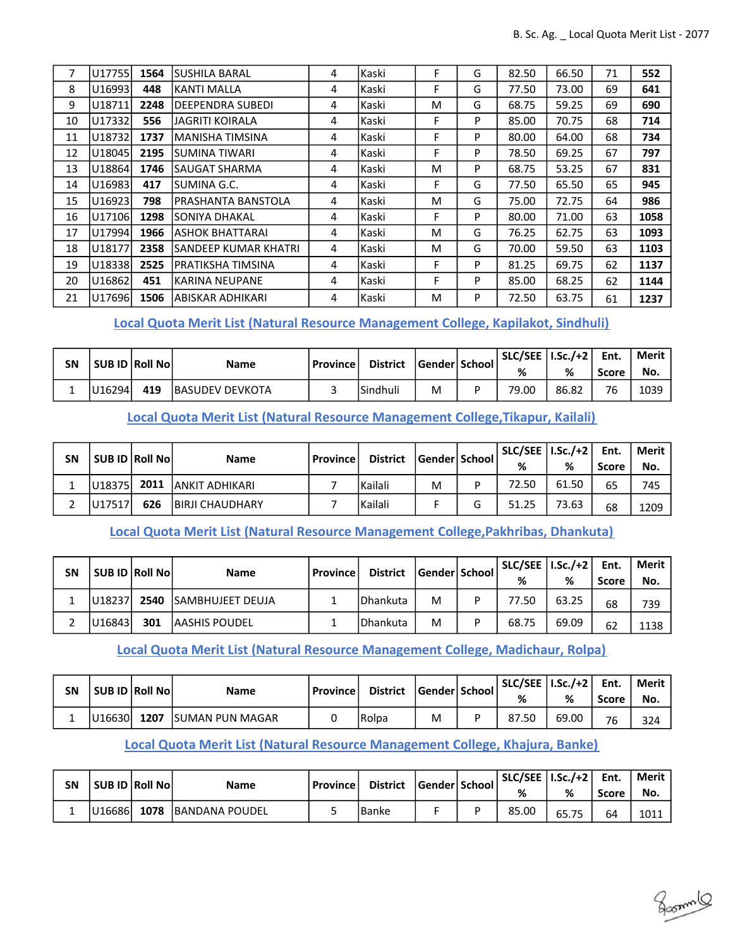| 7  | U17755 | 1564 | <b>SUSHILA BARAL</b>    | 4 | Kaski | F | G | 82.50 | 66.50 | 71 | 552  |
|----|--------|------|-------------------------|---|-------|---|---|-------|-------|----|------|
| 8  | U16993 | 448  | <b>KANTI MALLA</b>      | 4 | Kaski | F | G | 77.50 | 73.00 | 69 | 641  |
| 9  | U18711 | 2248 | <b>DEEPENDRA SUBEDI</b> | 4 | Kaski | M | G | 68.75 | 59.25 | 69 | 690  |
| 10 | U17332 | 556  | <b>JAGRITI KOIRALA</b>  | 4 | Kaski | F | P | 85.00 | 70.75 | 68 | 714  |
| 11 | U18732 | 1737 | MANISHA TIMSINA         | 4 | Kaski | F | P | 80.00 | 64.00 | 68 | 734  |
| 12 | U18045 | 2195 | SUMINA TIWARI           | 4 | Kaski | F | P | 78.50 | 69.25 | 67 | 797  |
| 13 | U18864 | 1746 | SAUGAT SHARMA           | 4 | Kaski | M | P | 68.75 | 53.25 | 67 | 831  |
| 14 | U16983 | 417  | SUMINA G.C.             | 4 | Kaski | F | G | 77.50 | 65.50 | 65 | 945  |
| 15 | U16923 | 798  | PRASHANTA BANSTOLA      | 4 | Kaski | M | G | 75.00 | 72.75 | 64 | 986  |
| 16 | U17106 | 1298 | SONIYA DHAKAL           | 4 | Kaski | F | P | 80.00 | 71.00 | 63 | 1058 |
| 17 | U17994 | 1966 | ASHOK BHATTARAI         | 4 | Kaski | М | G | 76.25 | 62.75 | 63 | 1093 |
| 18 | U18177 | 2358 | SANDEEP KUMAR KHATRI    | 4 | Kaski | M | G | 70.00 | 59.50 | 63 | 1103 |
| 19 | U18338 | 2525 | PRATIKSHA TIMSINA       | 4 | Kaski | F | P | 81.25 | 69.75 | 62 | 1137 |
| 20 | U16862 | 451  | <b>KARINA NEUPANE</b>   | 4 | Kaski | F | P | 85.00 | 68.25 | 62 | 1144 |
| 21 | U17696 | 1506 | <b>ABISKAR ADHIKARI</b> | 4 | Kaski | M | P | 72.50 | 63.75 | 61 | 1237 |

Local Quota Merit List (Natural Resource Management College, Kapilakot, Sindhuli)

| SN |        | <b>SUB ID Roll Nol</b> | <b>Name</b>             | l Province l | <b>District</b> | Gender  School | $SLC/SEE$   I.Sc./+2  <br>% | %     | Ent.<br>Score | <b>Merit</b><br>No. |
|----|--------|------------------------|-------------------------|--------------|-----------------|----------------|-----------------------------|-------|---------------|---------------------|
|    | U16294 | 419                    | <b>IBASUDEV DEVKOTA</b> |              | Sindhuli        | M              | 79.00                       | 86.82 | 76            | 1039                |

Local Quota Merit List (Natural Resource Management College,Tikapur, Kailali)

| SΝ | SUB ID Roll No |      | <b>Name</b>             | l Province l | <b>District</b> | Gender   School | SLC/SEE   I.Sc./+2  <br>% | %     | Ent.<br><b>Score</b> | Merit l<br>No. |
|----|----------------|------|-------------------------|--------------|-----------------|-----------------|---------------------------|-------|----------------------|----------------|
|    | U18375         | 2011 | IANKIT ADHIKARI         |              | Kailali         | M               | 72.50                     | 61.50 | 65                   | 745            |
|    | U17517         | 626  | <b>IBIRJI CHAUDHARY</b> |              | Kailali         |                 | 51.25                     | 73.63 | 68                   | 1209           |

Local Quota Merit List (Natural Resource Management College,Pakhribas, Dhankuta)

| <b>SN</b> | <b>SUB ID Roll Nol</b> |      | <b>Name</b>              | l Province l | <b>District</b>   | Gender School | SLC/SEE   I.Sc./+2  <br>% | %     | Ent.<br>Score | Merit<br>No. |
|-----------|------------------------|------|--------------------------|--------------|-------------------|---------------|---------------------------|-------|---------------|--------------|
|           | U18237                 | 2540 | <b>ISAMBHUJEET DEUJA</b> |              | <b>IDhankuta</b>  | M             | 77.50                     | 63.25 | 68            | 739          |
|           | U16843                 | 301  | lAASHIS POUDEL           |              | <b>I</b> Dhankuta | M             | 68.75                     | 69.09 | 62            | 1138         |

Local Quota Merit List (Natural Resource Management College, Madichaur, Rolpa)

| <b>SN</b> | SUB ID Roll No |      | <b>Name</b>            | l Province l | <b>District</b> | Gender  School | SLC/SEE   I.Sc./+2  <br>% | %     | Ent.<br>Score | <b>Merit</b><br>No. |
|-----------|----------------|------|------------------------|--------------|-----------------|----------------|---------------------------|-------|---------------|---------------------|
|           | U16630L        | 1207 | <b>SUMAN PUN MAGAR</b> |              | Rolpa           | M              | 87.50                     | 69.00 | 76            | 324                 |

## Local Quota Merit List (Natural Resource Management College, Khajura, Banke)

| SΝ | SUB ID Roll No |      | <b>Name</b>            | l Province l | <b>District</b> | Gender School | $SLC/SEE \mid I.Sc./+2 \mid$<br>% | %     | Ent.<br>Score | Merit<br>No. |
|----|----------------|------|------------------------|--------------|-----------------|---------------|-----------------------------------|-------|---------------|--------------|
|    | U16686         | 1078 | <b>IBANDANA POUDEL</b> |              | IBanke          |               | 85.00                             | 65.75 | 64            | 1011         |

gammlo